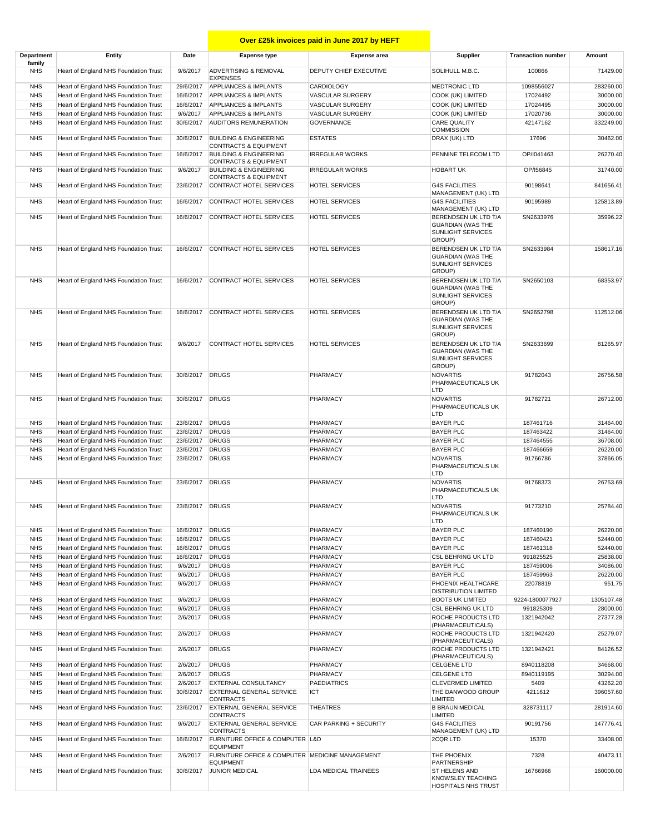## **COVER 25K Invoices paid in June 2017 by HEFT**

| Department<br>family     | Entity                                                                         | Date                         | <b>Expense type</b>                                                   | <b>Expense area</b>       | Supplier                                                                        | <b>Transaction number</b> | Amount                |
|--------------------------|--------------------------------------------------------------------------------|------------------------------|-----------------------------------------------------------------------|---------------------------|---------------------------------------------------------------------------------|---------------------------|-----------------------|
| <b>NHS</b>               | Heart of England NHS Foundation Trust                                          | 9/6/2017                     | <b>ADVERTISING &amp; REMOVAL</b><br><b>EXPENSES</b>                   | DEPUTY CHIEF EXECUTIVE    | SOLIHULL M.B.C.                                                                 | 100866                    | 71429.00              |
| <b>NHS</b>               | Heart of England NHS Foundation Trust                                          | 29/6/2017                    | <b>APPLIANCES &amp; IMPLANTS</b>                                      | <b>CARDIOLOGY</b>         | <b>MEDTRONIC LTD</b>                                                            | 1098556027                | 283260.00             |
| <b>NHS</b>               | Heart of England NHS Foundation Trust                                          | 16/6/2017                    | <b>APPLIANCES &amp; IMPLANTS</b>                                      | <b>VASCULAR SURGERY</b>   | COOK (UK) LIMITED                                                               | 17024492                  | 30000.00              |
| <b>NHS</b>               | Heart of England NHS Foundation Trust                                          | 16/6/2017                    | <b>APPLIANCES &amp; IMPLANTS</b>                                      | VASCULAR SURGERY          | COOK (UK) LIMITED                                                               | 17024495                  | 30000.00              |
| <b>NHS</b>               | Heart of England NHS Foundation Trust                                          | 9/6/2017                     | <b>APPLIANCES &amp; IMPLANTS</b>                                      | VASCULAR SURGERY          | COOK (UK) LIMITED                                                               | 17020736                  | 30000.00              |
| <b>NHS</b>               | Heart of England NHS Foundation Trust                                          | 30/6/2017                    | <b>AUDITORS REMUNERATION</b>                                          | <b>GOVERNANCE</b>         | <b>CARE QUALITY</b><br><b>COMMISSION</b>                                        | 42147162                  | 332249.00             |
| <b>NHS</b>               | Heart of England NHS Foundation Trust                                          | 30/6/2017                    | <b>BUILDING &amp; ENGINEERING</b><br><b>CONTRACTS &amp; EQUIPMENT</b> | <b>ESTATES</b>            | DRAX (UK) LTD                                                                   | 17696                     | 30462.00              |
| <b>NHS</b>               | Heart of England NHS Foundation Trust                                          | 16/6/2017                    | <b>BUILDING &amp; ENGINEERING</b><br><b>CONTRACTS &amp; EQUIPMENT</b> | <b>IRREGULAR WORKS</b>    | PENNINE TELECOM LTD                                                             | OP/I041463                | 26270.40              |
| <b>NHS</b>               | Heart of England NHS Foundation Trust                                          | 9/6/2017                     | <b>BUILDING &amp; ENGINEERING</b><br><b>CONTRACTS &amp; EQUIPMENT</b> | <b>IRREGULAR WORKS</b>    | <b>HOBART UK</b>                                                                | OP/I56845                 | 31740.00              |
| <b>NHS</b>               | Heart of England NHS Foundation Trust                                          | 23/6/2017                    | CONTRACT HOTEL SERVICES                                               | <b>HOTEL SERVICES</b>     | <b>G4S FACILITIES</b><br>MANAGEMENT (UK) LTD                                    | 90198641                  | 841656.41             |
| <b>NHS</b>               | Heart of England NHS Foundation Trust                                          | 16/6/2017                    | CONTRACT HOTEL SERVICES                                               | <b>HOTEL SERVICES</b>     | <b>G4S FACILITIES</b><br>MANAGEMENT (UK) LTD                                    | 90195989                  | 125813.89             |
| <b>NHS</b>               | Heart of England NHS Foundation Trust                                          | 16/6/2017                    | CONTRACT HOTEL SERVICES                                               | <b>HOTEL SERVICES</b>     | BERENDSEN UK LTD T/A<br><b>GUARDIAN (WAS THE</b><br>SUNLIGHT SERVICES<br>GROUP) | SN2633976                 | 35996.22              |
| <b>NHS</b>               | Heart of England NHS Foundation Trust                                          | 16/6/2017                    | CONTRACT HOTEL SERVICES                                               | <b>HOTEL SERVICES</b>     | BERENDSEN UK LTD T/A<br><b>GUARDIAN (WAS THE</b><br>SUNLIGHT SERVICES<br>GROUP) | SN2633984                 | 158617.16             |
| <b>NHS</b>               | Heart of England NHS Foundation Trust                                          |                              | 16/6/2017 CONTRACT HOTEL SERVICES                                     | <b>HOTEL SERVICES</b>     | BERENDSEN UK LTD T/A<br><b>GUARDIAN (WAS THE</b><br>SUNLIGHT SERVICES<br>GROUP) | SN2650103                 | 68353.97              |
| <b>NHS</b>               | Heart of England NHS Foundation Trust                                          | 16/6/2017                    | CONTRACT HOTEL SERVICES                                               | <b>HOTEL SERVICES</b>     | BERENDSEN UK LTD T/A<br><b>GUARDIAN (WAS THE</b><br>SUNLIGHT SERVICES<br>GROUP) | SN2652798                 | 112512.06             |
| <b>NHS</b>               | Heart of England NHS Foundation Trust                                          | 9/6/2017                     | CONTRACT HOTEL SERVICES                                               | <b>HOTEL SERVICES</b>     | BERENDSEN UK LTD T/A<br><b>GUARDIAN (WAS THE</b><br>SUNLIGHT SERVICES<br>GROUP) | SN2633699                 | 81265.97              |
| <b>NHS</b>               | Heart of England NHS Foundation Trust                                          | 30/6/2017 DRUGS              |                                                                       | PHARMACY                  | <b>NOVARTIS</b><br>PHARMACEUTICALS UK<br>LTD                                    | 91782043                  | 26756.58              |
| <b>NHS</b><br><b>NHS</b> | Heart of England NHS Foundation Trust<br>Heart of England NHS Foundation Trust | 30/6/2017 DRUGS<br>23/6/2017 | <b>DRUGS</b>                                                          | PHARMACY<br>PHARMACY      | <b>NOVARTIS</b><br>PHARMACEUTICALS UK<br>LTD<br><b>BAYER PLC</b>                | 91782721<br>187461716     | 26712.00<br>31464.00  |
| <b>NHS</b>               | Heart of England NHS Foundation Trust                                          | 23/6/2017                    | <b>DRUGS</b>                                                          | PHARMACY                  | <b>BAYER PLC</b>                                                                | 187463422                 | 31464.00              |
| <b>NHS</b>               | Heart of England NHS Foundation Trust                                          | 23/6/2017                    | <b>DRUGS</b>                                                          | PHARMACY                  | <b>BAYER PLC</b>                                                                | 187464555                 | 36708.00              |
| <b>NHS</b>               | Heart of England NHS Foundation Trust                                          | 23/6/2017                    | <b>DRUGS</b>                                                          | PHARMACY                  | <b>BAYER PLC</b>                                                                | 187466659                 | 26220.00              |
| <b>NHS</b>               | Heart of England NHS Foundation Trust                                          | 23/6/2017                    | <b>DRUGS</b>                                                          | PHARMACY                  | <b>NOVARTIS</b><br>PHARMACEUTICALS UK                                           | 91766786                  | 37866.05              |
| <b>NHS</b>               | Heart of England NHS Foundation Trust                                          | 23/6/2017 DRUGS              |                                                                       | PHARMACY                  | LTD<br><b>NOVARTIS</b><br>PHARMACEUTICALS UK<br>LTD                             | 91768373                  | 26753.69              |
| <b>NHS</b>               | Heart of England NHS Foundation Trust                                          | 23/6/2017 DRUGS              |                                                                       | PHARMACY                  | <b>NOVARTIS</b><br>PHARMACEUTICALS UK<br>LTD                                    | 91773210                  | 25784.40              |
| <b>NHS</b>               | Heart of England NHS Foundation Trust                                          | 16/6/2017                    | <b>DRUGS</b>                                                          | PHARMACY                  | <b>BAYER PLC</b>                                                                | 187460190                 | 26220.00              |
| <b>NHS</b>               | Heart of England NHS Foundation Trust                                          | 16/6/2017                    | <b>DRUGS</b>                                                          | PHARMACY                  | <b>BAYER PLC</b>                                                                | 187460421                 | 52440.00              |
| <b>NHS</b>               | Heart of England NHS Foundation Trust                                          | 16/6/2017                    | <b>DRUGS</b>                                                          | PHARMACY                  | <b>BAYER PLC</b>                                                                | 187461318                 | 52440.00              |
| <b>NHS</b>               | Heart of England NHS Foundation Trust                                          | 16/6/2017                    | <b>DRUGS</b>                                                          | PHARMACY                  | <b>CSL BEHRING UK LTD</b>                                                       | 991825525                 | 25838.00              |
| <b>NHS</b>               | Heart of England NHS Foundation Trust                                          | 9/6/2017                     | <b>DRUGS</b>                                                          | PHARMACY                  | <b>BAYER PLC</b>                                                                | 187459006                 | 34086.00              |
| <b>NHS</b><br><b>NHS</b> | Heart of England NHS Foundation Trust<br>Heart of England NHS Foundation Trust | 9/6/2017<br>9/6/2017         | <b>DRUGS</b><br><b>DRUGS</b>                                          | PHARMACY<br>PHARMACY      | <b>BAYER PLC</b><br>PHOENIX HEALTHCARE                                          | 187459963<br>22078819     | 26220.00<br>951.75    |
| <b>NHS</b>               | Heart of England NHS Foundation Trust                                          | 9/6/2017                     | <b>DRUGS</b>                                                          | PHARMACY                  | DISTRIBUTION LIMITED<br><b>BOOTS UK LIMITED</b>                                 | 9224-1800077927           | 1305107.48            |
| <b>NHS</b>               | Heart of England NHS Foundation Trust                                          | 9/6/2017                     | <b>DRUGS</b>                                                          | PHARMACY                  | <b>CSL BEHRING UK LTD</b>                                                       | 991825309                 | 28000.00              |
| <b>NHS</b>               | Heart of England NHS Foundation Trust                                          | 2/6/2017                     | <b>DRUGS</b>                                                          | PHARMACY                  | ROCHE PRODUCTS LTD<br>(PHARMACEUTICALS)                                         | 1321942042                | 27377.28              |
| <b>NHS</b>               | Heart of England NHS Foundation Trust                                          | 2/6/2017                     | <b>DRUGS</b>                                                          | PHARMACY                  | ROCHE PRODUCTS LTD<br>(PHARMACEUTICALS)                                         | 1321942420                | 25279.07              |
| <b>NHS</b>               | Heart of England NHS Foundation Trust                                          | 2/6/2017                     | <b>DRUGS</b>                                                          | PHARMACY                  | ROCHE PRODUCTS LTD<br>(PHARMACEUTICALS)                                         | 1321942421                | 84126.52              |
| <b>NHS</b>               | Heart of England NHS Foundation Trust                                          | 2/6/2017                     | <b>DRUGS</b>                                                          | PHARMACY                  | <b>CELGENE LTD</b>                                                              | 8940118208                | 34668.00              |
| <b>NHS</b>               | Heart of England NHS Foundation Trust                                          | 2/6/2017                     | <b>DRUGS</b>                                                          | PHARMACY                  | <b>CELGENE LTD</b>                                                              | 8940119195                | 30294.00              |
| <b>NHS</b><br><b>NHS</b> | Heart of England NHS Foundation Trust<br>Heart of England NHS Foundation Trust | 2/6/2017<br>30/6/2017        | <b>EXTERNAL CONSULTANCY</b><br><b>EXTERNAL GENERAL SERVICE</b>        | <b>PAEDIATRICS</b><br>ICT | <b>CLEVERMED LIMITED</b><br>THE DANWOOD GROUP                                   | 5409<br>4211612           | 43262.20<br>396057.60 |
| <b>NHS</b>               | Heart of England NHS Foundation Trust                                          | 23/6/2017                    | <b>CONTRACTS</b><br><b>EXTERNAL GENERAL SERVICE</b>                   | <b>THEATRES</b>           | LIMITED<br><b>B BRAUN MEDICAL</b>                                               | 328731117                 | 281914.60             |
| <b>NHS</b>               | Heart of England NHS Foundation Trust                                          | 9/6/2017                     | <b>CONTRACTS</b><br><b>EXTERNAL GENERAL SERVICE</b>                   | CAR PARKING + SECURITY    | LIMITED<br><b>G4S FACILITIES</b>                                                | 90191756                  | 147776.41             |
| <b>NHS</b>               | Heart of England NHS Foundation Trust                                          | 16/6/2017                    | CONTRACTS<br><b>FURNITURE OFFICE &amp; COMPUTER L&amp;D</b>           |                           | MANAGEMENT (UK) LTD<br>2CQR LTD                                                 | 15370                     | 33408.00              |
| <b>NHS</b>               | Heart of England NHS Foundation Trust                                          | 2/6/2017                     | <b>EQUIPMENT</b><br>FURNITURE OFFICE & COMPUTER MEDICINE MANAGEMENT   |                           | THE PHOENIX                                                                     | 7328                      | 40473.11              |
| <b>NHS</b>               | Heart of England NHS Foundation Trust                                          | 30/6/2017                    | <b>EQUIPMENT</b><br>JUNIOR MEDICAL                                    | LDA MEDICAL TRAINEES      | PARTNERSHIP<br>ST HELENS AND                                                    | 16766966                  | 160000.00             |
|                          |                                                                                |                              |                                                                       |                           | KNOWSLEY TEACHING<br>HOSPITALS NHS TRUST                                        |                           |                       |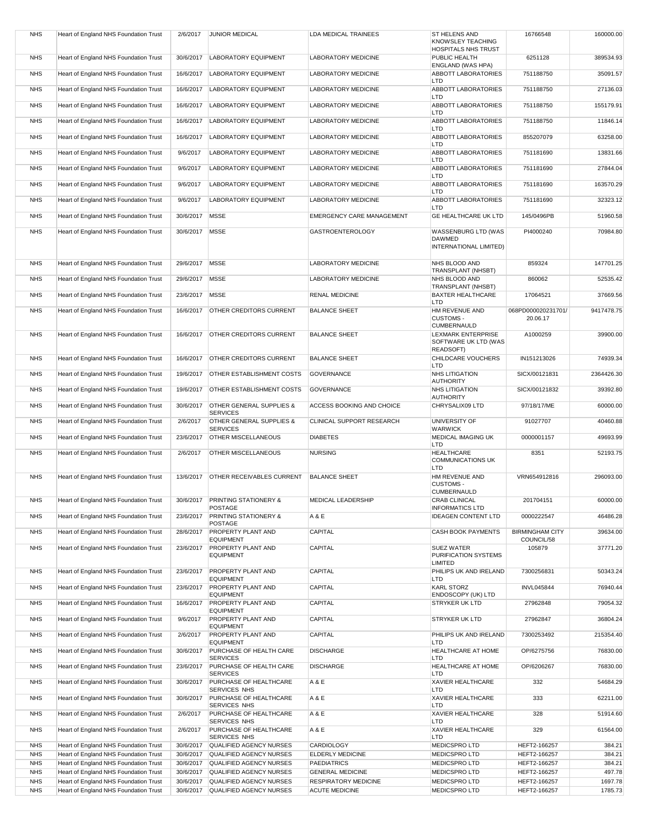| <b>NHS</b>               | Heart of England NHS Foundation Trust                                          | 2/6/2017               | <b>JUNIOR MEDICAL</b>                                      | LDA MEDICAL TRAINEES                         | ST HELENS AND<br><b>KNOWSLEY TEACHING</b><br><b>HOSPITALS NHS TRUST</b> | 16766548                             | 160000.00        |
|--------------------------|--------------------------------------------------------------------------------|------------------------|------------------------------------------------------------|----------------------------------------------|-------------------------------------------------------------------------|--------------------------------------|------------------|
| <b>NHS</b>               | Heart of England NHS Foundation Trust                                          | 30/6/2017              | <b>LABORATORY EQUIPMENT</b>                                | LABORATORY MEDICINE                          | PUBLIC HEALTH                                                           | 6251128                              | 389534.93        |
| <b>NHS</b>               | Heart of England NHS Foundation Trust                                          | 16/6/2017              | <b>LABORATORY EQUIPMENT</b>                                | LABORATORY MEDICINE                          | ENGLAND (WAS HPA)<br><b>ABBOTT LABORATORIES</b>                         | 751188750                            | 35091.57         |
| <b>NHS</b>               | Heart of England NHS Foundation Trust                                          | 16/6/2017              | <b>LABORATORY EQUIPMENT</b>                                | <b>LABORATORY MEDICINE</b>                   | LTD<br><b>ABBOTT LABORATORIES</b>                                       | 751188750                            | 27136.03         |
| <b>NHS</b>               | Heart of England NHS Foundation Trust                                          | 16/6/2017              | <b>LABORATORY EQUIPMENT</b>                                | LABORATORY MEDICINE                          | LTD<br><b>ABBOTT LABORATORIES</b>                                       | 751188750                            | 155179.91        |
| <b>NHS</b>               | Heart of England NHS Foundation Trust                                          | 16/6/2017              | <b>LABORATORY EQUIPMENT</b>                                | LABORATORY MEDICINE                          | LTD<br><b>ABBOTT LABORATORIES</b>                                       | 751188750                            | 11846.14         |
| <b>NHS</b>               |                                                                                |                        | <b>LABORATORY EQUIPMENT</b>                                | LABORATORY MEDICINE                          | LTD<br><b>ABBOTT LABORATORIES</b>                                       | 855207079                            |                  |
|                          | Heart of England NHS Foundation Trust                                          | 16/6/2017              |                                                            |                                              | LTD                                                                     |                                      | 63258.00         |
| <b>NHS</b>               | Heart of England NHS Foundation Trust                                          | 9/6/2017               | <b>LABORATORY EQUIPMENT</b>                                | LABORATORY MEDICINE                          | ABBOTT LABORATORIES<br>LTD                                              | 751181690                            | 13831.66         |
| <b>NHS</b>               | Heart of England NHS Foundation Trust                                          | 9/6/2017               | <b>LABORATORY EQUIPMENT</b>                                | LABORATORY MEDICINE                          | <b>ABBOTT LABORATORIES</b><br>LTD                                       | 751181690                            | 27844.04         |
| <b>NHS</b>               | Heart of England NHS Foundation Trust                                          | 9/6/2017               | <b>LABORATORY EQUIPMENT</b>                                | LABORATORY MEDICINE                          | <b>ABBOTT LABORATORIES</b><br>LTD                                       | 751181690                            | 163570.29        |
| <b>NHS</b>               | Heart of England NHS Foundation Trust                                          | 9/6/2017               | <b>LABORATORY EQUIPMENT</b>                                | <b>LABORATORY MEDICINE</b>                   | ABBOTT LABORATORIES<br>LTD                                              | 751181690                            | 32323.12         |
| <b>NHS</b>               | Heart of England NHS Foundation Trust                                          | 30/6/2017              | <b>MSSE</b>                                                | <b>EMERGENCY CARE MANAGEMENT</b>             | GE HEALTHCARE UK LTD                                                    | 145/0496PB                           | 51960.58         |
| <b>NHS</b>               | Heart of England NHS Foundation Trust                                          | 30/6/2017              | <b>MSSE</b>                                                | <b>GASTROENTEROLOGY</b>                      | WASSENBURG LTD (WAS<br><b>DAWMED</b><br>INTERNATIONAL LIMITED)          | PI4000240                            | 70984.80         |
| <b>NHS</b>               | Heart of England NHS Foundation Trust                                          | 29/6/2017              | <b>MSSE</b>                                                | LABORATORY MEDICINE                          | NHS BLOOD AND                                                           | 859324                               | 147701.25        |
| <b>NHS</b>               | Heart of England NHS Foundation Trust                                          | 29/6/2017              | <b>MSSE</b>                                                | LABORATORY MEDICINE                          | TRANSPLANT (NHSBT)<br>NHS BLOOD AND                                     | 860062                               | 52535.42         |
| <b>NHS</b>               | Heart of England NHS Foundation Trust                                          | 23/6/2017              | <b>MSSE</b>                                                | <b>RENAL MEDICINE</b>                        | TRANSPLANT (NHSBT)<br><b>BAXTER HEALTHCARE</b>                          | 17064521                             | 37669.56         |
| <b>NHS</b>               | Heart of England NHS Foundation Trust                                          | 16/6/2017              | OTHER CREDITORS CURRENT                                    | <b>BALANCE SHEET</b>                         | LTD<br>HM REVENUE AND                                                   | 068PD000020231701/                   | 9417478.75       |
|                          |                                                                                |                        |                                                            |                                              | <b>CUSTOMS -</b><br><b>CUMBERNAULD</b>                                  | 20.06.17                             |                  |
| <b>NHS</b>               | Heart of England NHS Foundation Trust                                          | 16/6/2017              | <b>OTHER CREDITORS CURRENT</b>                             | <b>BALANCE SHEET</b>                         | LEXMARK ENTERPRISE<br>SOFTWARE UK LTD (WAS<br>READSOFT)                 | A1000259                             | 39900.00         |
| <b>NHS</b>               | Heart of England NHS Foundation Trust                                          | 16/6/2017              | <b>OTHER CREDITORS CURRENT</b>                             | <b>BALANCE SHEET</b>                         | CHILDCARE VOUCHERS<br>LTD                                               | IN151213026                          | 74939.34         |
| <b>NHS</b>               | Heart of England NHS Foundation Trust                                          | 19/6/2017              | OTHER ESTABLISHMENT COSTS                                  | <b>GOVERNANCE</b>                            | <b>NHS LITIGATION</b><br><b>AUTHORITY</b>                               | SICX/00121831                        | 2364426.30       |
| <b>NHS</b>               | Heart of England NHS Foundation Trust                                          | 19/6/2017              | OTHER ESTABLISHMENT COSTS                                  | <b>GOVERNANCE</b>                            | <b>NHS LITIGATION</b><br><b>AUTHORITY</b>                               | SICX/00121832                        | 39392.80         |
| <b>NHS</b>               | Heart of England NHS Foundation Trust                                          | 30/6/2017              | OTHER GENERAL SUPPLIES &<br><b>SERVICES</b>                | ACCESS BOOKING AND CHOICE                    | CHRYSALIX09 LTD                                                         | 97/18/17/ME                          | 60000.00         |
| <b>NHS</b>               | Heart of England NHS Foundation Trust                                          | 2/6/2017               | OTHER GENERAL SUPPLIES &                                   | CLINICAL SUPPORT RESEARCH                    | UNIVERSITY OF                                                           | 91027707                             | 40460.88         |
| <b>NHS</b>               | Heart of England NHS Foundation Trust                                          | 23/6/2017              | <b>SERVICES</b><br><b>OTHER MISCELLANEOUS</b>              | <b>DIABETES</b>                              | <b>WARWICK</b><br>MEDICAL IMAGING UK<br>LTD                             | 0000001157                           | 49693.99         |
| <b>NHS</b>               | Heart of England NHS Foundation Trust                                          | 2/6/2017               | OTHER MISCELLANEOUS                                        | <b>NURSING</b>                               | <b>HEALTHCARE</b><br><b>COMMUNICATIONS UK</b><br>LTD                    | 8351                                 | 52193.75         |
| <b>NHS</b>               | Heart of England NHS Foundation Trust                                          | 13/6/2017              | OTHER RECEIVABLES CURRENT                                  | <b>BALANCE SHEET</b>                         | HM REVENUE AND<br><b>CUSTOMS -</b><br><b>CUMBERNAULD</b>                | VRN654912816                         | 296093.00        |
| <b>NHS</b>               | Heart of England NHS Foundation Trust                                          |                        | 30/6/2017 PRINTING STATIONERY &<br>POSTAGE                 | <b>MEDICAL LEADERSHIP</b>                    | <b>CRAB CLINICAL</b><br><b>INFORMATICS LTD</b>                          | 201704151                            | 60000.00         |
| <b>NHS</b>               | Heart of England NHS Foundation Trust                                          | 23/6/2017              | PRINTING STATIONERY &<br><b>POSTAGE</b>                    | A & E                                        | <b>IDEAGEN CONTENT LTD</b>                                              | 0000222547                           | 46486.28         |
| <b>NHS</b>               | Heart of England NHS Foundation Trust                                          | 28/6/2017              | PROPERTY PLANT AND                                         | CAPITAL                                      | <b>CASH BOOK PAYMENTS</b>                                               | <b>BIRMINGHAM CITY</b><br>COUNCIL/58 | 39634.00         |
| <b>NHS</b>               | Heart of England NHS Foundation Trust                                          | 23/6/2017              | <b>EQUIPMENT</b><br>PROPERTY PLANT AND<br><b>EQUIPMENT</b> | CAPITAL                                      | <b>SUEZ WATER</b><br>PURIFICATION SYSTEMS                               | 105879                               | 37771.20         |
| <b>NHS</b>               | Heart of England NHS Foundation Trust                                          | 23/6/2017              | PROPERTY PLANT AND                                         | CAPITAL                                      | LIMITED<br>PHILIPS UK AND IRELAND                                       | 7300256831                           | 50343.24         |
| <b>NHS</b>               | Heart of England NHS Foundation Trust                                          | 23/6/2017              | <b>EQUIPMENT</b><br>PROPERTY PLANT AND                     | CAPITAL                                      | LTD<br><b>KARL STORZ</b>                                                | <b>INVL045844</b>                    | 76940.44         |
| <b>NHS</b>               | Heart of England NHS Foundation Trust                                          | 16/6/2017              | <b>EQUIPMENT</b><br>PROPERTY PLANT AND                     | CAPITAL                                      | <b>ENDOSCOPY (UK) LTD</b><br><b>STRYKER UK LTD</b>                      | 27962848                             | 79054.32         |
| <b>NHS</b>               | Heart of England NHS Foundation Trust                                          | 9/6/2017               | <b>EQUIPMENT</b><br>PROPERTY PLANT AND                     | CAPITAL                                      | <b>STRYKER UK LTD</b>                                                   | 27962847                             | 36804.24         |
|                          |                                                                                |                        | <b>EQUIPMENT</b>                                           |                                              |                                                                         |                                      |                  |
| <b>NHS</b>               | Heart of England NHS Foundation Trust                                          | 2/6/2017               | PROPERTY PLANT AND<br><b>EQUIPMENT</b>                     | CAPITAL                                      | PHILIPS UK AND IRELAND<br>LTD                                           | 7300253492                           | 215354.40        |
| <b>NHS</b>               | Heart of England NHS Foundation Trust                                          | 30/6/2017              | PURCHASE OF HEALTH CARE<br><b>SERVICES</b>                 | <b>DISCHARGE</b>                             | <b>HEALTHCARE AT HOME</b><br>LTD                                        | OP/6275756                           | 76830.00         |
| <b>NHS</b>               | Heart of England NHS Foundation Trust                                          | 23/6/2017              | PURCHASE OF HEALTH CARE<br><b>SERVICES</b>                 | <b>DISCHARGE</b>                             | HEALTHCARE AT HOME<br>LTD                                               | OP/6206267                           | 76830.00         |
| <b>NHS</b>               | Heart of England NHS Foundation Trust                                          | 30/6/2017              | PURCHASE OF HEALTHCARE<br>SERVICES NHS                     | A & E                                        | <b>XAVIER HEALTHCARE</b><br>LTD                                         | 332                                  | 54684.29         |
| <b>NHS</b>               | Heart of England NHS Foundation Trust                                          | 30/6/2017              | PURCHASE OF HEALTHCARE<br>SERVICES NHS                     | A & E                                        | <b>XAVIER HEALTHCARE</b><br>LTD                                         | 333                                  | 62211.00         |
| <b>NHS</b>               | Heart of England NHS Foundation Trust                                          | 2/6/2017               | PURCHASE OF HEALTHCARE<br>SERVICES NHS                     | A & E                                        | <b>XAVIER HEALTHCARE</b><br>LTD                                         | 328                                  | 51914.60         |
| <b>NHS</b>               | Heart of England NHS Foundation Trust                                          | 2/6/2017               | PURCHASE OF HEALTHCARE<br>SERVICES NHS                     | A & E                                        | <b>XAVIER HEALTHCARE</b><br>LTD                                         | 329                                  | 61564.00         |
| <b>NHS</b><br><b>NHS</b> | Heart of England NHS Foundation Trust<br>Heart of England NHS Foundation Trust | 30/6/2017<br>30/6/2017 | QUALIFIED AGENCY NURSES<br>QUALIFIED AGENCY NURSES         | <b>CARDIOLOGY</b><br><b>ELDERLY MEDICINE</b> | <b>MEDICSPRO LTD</b><br><b>MEDICSPRO LTD</b>                            | HEFT2-166257<br>HEFT2-166257         | 384.21<br>384.21 |
| <b>NHS</b>               | Heart of England NHS Foundation Trust                                          | 30/6/2017              | QUALIFIED AGENCY NURSES                                    | <b>PAEDIATRICS</b>                           | <b>MEDICSPRO LTD</b>                                                    | HEFT2-166257                         | 384.21           |
| <b>NHS</b>               | Heart of England NHS Foundation Trust                                          | 30/6/2017              | <b>QUALIFIED AGENCY NURSES</b>                             | <b>GENERAL MEDICINE</b>                      | <b>MEDICSPRO LTD</b>                                                    | HEFT2-166257                         | 497.78           |
| <b>NHS</b>               | Heart of England NHS Foundation Trust                                          | 30/6/2017              | QUALIFIED AGENCY NURSES                                    | <b>RESPIRATORY MEDICINE</b>                  | <b>MEDICSPRO LTD</b>                                                    | HEFT2-166257                         | 1697.78          |
| <b>NHS</b>               | Heart of England NHS Foundation Trust                                          | 30/6/2017              | QUALIFIED AGENCY NURSES                                    | <b>ACUTE MEDICINE</b>                        | <b>MEDICSPRO LTD</b>                                                    | HEFT2-166257                         | 1785.73          |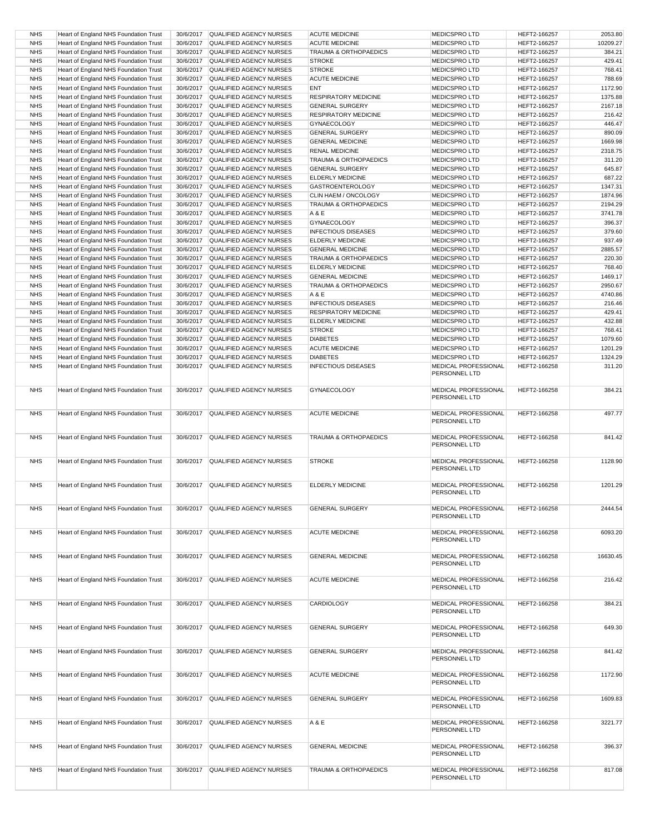| <b>NHS</b> | Heart of England NHS Foundation Trust | 30/6/2017 | QUALIFIED AGENCY NURSES           | <b>ACUTE MEDICINE</b>            | <b>MEDICSPRO LTD</b>                         | HEFT2-166257 | 2053.80  |
|------------|---------------------------------------|-----------|-----------------------------------|----------------------------------|----------------------------------------------|--------------|----------|
| <b>NHS</b> | Heart of England NHS Foundation Trust | 30/6/2017 | <b>QUALIFIED AGENCY NURSES</b>    | <b>ACUTE MEDICINE</b>            | <b>MEDICSPRO LTD</b>                         | HEFT2-166257 | 10209.27 |
| <b>NHS</b> | Heart of England NHS Foundation Trust | 30/6/2017 | QUALIFIED AGENCY NURSES           | <b>TRAUMA &amp; ORTHOPAEDICS</b> | <b>MEDICSPROLTD</b>                          | HEFT2-166257 | 384.21   |
| <b>NHS</b> | Heart of England NHS Foundation Trust | 30/6/2017 | QUALIFIED AGENCY NURSES           | <b>STROKE</b>                    | <b>MEDICSPRO LTD</b>                         | HEFT2-166257 | 429.41   |
|            |                                       |           |                                   |                                  |                                              |              |          |
| <b>NHS</b> | Heart of England NHS Foundation Trust | 30/6/2017 | QUALIFIED AGENCY NURSES           | <b>STROKE</b>                    | <b>MEDICSPRO LTD</b>                         | HEFT2-166257 | 768.41   |
| <b>NHS</b> | Heart of England NHS Foundation Trust | 30/6/2017 | <b>QUALIFIED AGENCY NURSES</b>    | <b>ACUTE MEDICINE</b>            | <b>MEDICSPRO LTD</b>                         | HEFT2-166257 | 788.69   |
| <b>NHS</b> | Heart of England NHS Foundation Trust | 30/6/2017 | QUALIFIED AGENCY NURSES           | <b>ENT</b>                       | <b>MEDICSPRO LTD</b>                         | HEFT2-166257 | 1172.90  |
| <b>NHS</b> | Heart of England NHS Foundation Trust | 30/6/2017 | QUALIFIED AGENCY NURSES           | <b>RESPIRATORY MEDICINE</b>      | <b>MEDICSPRO LTD</b>                         | HEFT2-166257 | 1375.88  |
|            | Heart of England NHS Foundation Trust |           |                                   |                                  |                                              |              |          |
| <b>NHS</b> |                                       | 30/6/2017 | <b>QUALIFIED AGENCY NURSES</b>    | <b>GENERAL SURGERY</b>           | <b>MEDICSPRO LTD</b>                         | HEFT2-166257 | 2167.18  |
| <b>NHS</b> | Heart of England NHS Foundation Trust | 30/6/2017 | QUALIFIED AGENCY NURSES           | <b>RESPIRATORY MEDICINE</b>      | <b>MEDICSPRO LTD</b>                         | HEFT2-166257 | 216.42   |
| <b>NHS</b> | Heart of England NHS Foundation Trust | 30/6/2017 | QUALIFIED AGENCY NURSES           | GYNAECOLOGY                      | <b>MEDICSPRO LTD</b>                         | HEFT2-166257 | 446.47   |
| <b>NHS</b> | Heart of England NHS Foundation Trust | 30/6/2017 | QUALIFIED AGENCY NURSES           | <b>GENERAL SURGERY</b>           | <b>MEDICSPRO LTD</b>                         | HEFT2-166257 | 890.09   |
|            |                                       |           |                                   |                                  |                                              |              |          |
| <b>NHS</b> | Heart of England NHS Foundation Trust | 30/6/2017 | QUALIFIED AGENCY NURSES           | <b>GENERAL MEDICINE</b>          | <b>MEDICSPRO LTD</b>                         | HEFT2-166257 | 1669.98  |
| <b>NHS</b> | Heart of England NHS Foundation Trust | 30/6/2017 | QUALIFIED AGENCY NURSES           | <b>RENAL MEDICINE</b>            | <b>MEDICSPRO LTD</b>                         | HEFT2-166257 | 2318.75  |
| <b>NHS</b> | Heart of England NHS Foundation Trust | 30/6/2017 | <b>QUALIFIED AGENCY NURSES</b>    | <b>TRAUMA &amp; ORTHOPAEDICS</b> | <b>MEDICSPRO LTD</b>                         | HEFT2-166257 | 311.20   |
| <b>NHS</b> | Heart of England NHS Foundation Trust | 30/6/2017 | <b>QUALIFIED AGENCY NURSES</b>    | <b>GENERAL SURGERY</b>           | <b>MEDICSPRO LTD</b>                         | HEFT2-166257 | 645.87   |
|            |                                       |           |                                   |                                  |                                              |              |          |
| <b>NHS</b> | Heart of England NHS Foundation Trust | 30/6/2017 | QUALIFIED AGENCY NURSES           | ELDERLY MEDICINE                 | <b>MEDICSPRO LTD</b>                         | HEFT2-166257 | 687.22   |
| <b>NHS</b> | Heart of England NHS Foundation Trust | 30/6/2017 | QUALIFIED AGENCY NURSES           | <b>GASTROENTEROLOGY</b>          | <b>MEDICSPRO LTD</b>                         | HEFT2-166257 | 1347.31  |
| <b>NHS</b> | Heart of England NHS Foundation Trust | 30/6/2017 | QUALIFIED AGENCY NURSES           | CLIN HAEM / ONCOLOGY             | <b>MEDICSPRO LTD</b>                         | HEFT2-166257 | 1874.96  |
| <b>NHS</b> | Heart of England NHS Foundation Trust | 30/6/2017 | QUALIFIED AGENCY NURSES           | TRAUMA & ORTHOPAEDICS            | <b>MEDICSPRO LTD</b>                         | HEFT2-166257 | 2194.29  |
|            |                                       |           |                                   |                                  |                                              |              |          |
| <b>NHS</b> | Heart of England NHS Foundation Trust | 30/6/2017 | QUALIFIED AGENCY NURSES           | A & E                            | <b>MEDICSPRO LTD</b>                         | HEFT2-166257 | 3741.78  |
| <b>NHS</b> | Heart of England NHS Foundation Trust | 30/6/2017 | <b>QUALIFIED AGENCY NURSES</b>    | <b>GYNAECOLOGY</b>               | <b>MEDICSPRO LTD</b>                         | HEFT2-166257 | 396.37   |
| <b>NHS</b> | Heart of England NHS Foundation Trust | 30/6/2017 | QUALIFIED AGENCY NURSES           | <b>INFECTIOUS DISEASES</b>       | <b>MEDICSPRO LTD</b>                         | HEFT2-166257 | 379.60   |
|            |                                       |           |                                   |                                  |                                              |              |          |
| <b>NHS</b> | Heart of England NHS Foundation Trust | 30/6/2017 | QUALIFIED AGENCY NURSES           | ELDERLY MEDICINE                 | <b>MEDICSPRO LTD</b>                         | HEFT2-166257 | 937.49   |
| <b>NHS</b> | Heart of England NHS Foundation Trust | 30/6/2017 | QUALIFIED AGENCY NURSES           | <b>GENERAL MEDICINE</b>          | <b>MEDICSPRO LTD</b>                         | HEFT2-166257 | 2885.57  |
| <b>NHS</b> | Heart of England NHS Foundation Trust | 30/6/2017 | QUALIFIED AGENCY NURSES           | TRAUMA & ORTHOPAEDICS            | <b>MEDICSPRO LTD</b>                         | HEFT2-166257 | 220.30   |
| <b>NHS</b> | Heart of England NHS Foundation Trust | 30/6/2017 | QUALIFIED AGENCY NURSES           | ELDERLY MEDICINE                 | <b>MEDICSPRO LTD</b>                         | HEFT2-166257 | 768.40   |
|            |                                       |           |                                   |                                  |                                              |              |          |
| <b>NHS</b> | Heart of England NHS Foundation Trust | 30/6/2017 | QUALIFIED AGENCY NURSES           | <b>GENERAL MEDICINE</b>          | <b>MEDICSPROLTD</b>                          | HEFT2-166257 | 1469.17  |
| <b>NHS</b> | Heart of England NHS Foundation Trust | 30/6/2017 | <b>QUALIFIED AGENCY NURSES</b>    | <b>TRAUMA &amp; ORTHOPAEDICS</b> | <b>MEDICSPRO LTD</b>                         | HEFT2-166257 | 2950.67  |
| <b>NHS</b> | Heart of England NHS Foundation Trust | 30/6/2017 | QUALIFIED AGENCY NURSES           | A & E                            | <b>MEDICSPRO LTD</b>                         | HEFT2-166257 | 4740.86  |
| <b>NHS</b> | Heart of England NHS Foundation Trust | 30/6/2017 | QUALIFIED AGENCY NURSES           | <b>INFECTIOUS DISEASES</b>       | <b>MEDICSPRO LTD</b>                         | HEFT2-166257 | 216.46   |
|            |                                       |           |                                   |                                  |                                              |              |          |
| <b>NHS</b> | Heart of England NHS Foundation Trust | 30/6/2017 | QUALIFIED AGENCY NURSES           | <b>RESPIRATORY MEDICINE</b>      | <b>MEDICSPROLTD</b>                          | HEFT2-166257 | 429.41   |
| <b>NHS</b> | Heart of England NHS Foundation Trust | 30/6/2017 | <b>QUALIFIED AGENCY NURSES</b>    | ELDERLY MEDICINE                 | <b>MEDICSPRO LTD</b>                         | HEFT2-166257 | 432.88   |
| <b>NHS</b> | Heart of England NHS Foundation Trust | 30/6/2017 | QUALIFIED AGENCY NURSES           | <b>STROKE</b>                    | <b>MEDICSPRO LTD</b>                         | HEFT2-166257 | 768.41   |
|            |                                       |           |                                   |                                  |                                              |              |          |
| <b>NHS</b> | Heart of England NHS Foundation Trust | 30/6/2017 | QUALIFIED AGENCY NURSES           | <b>DIABETES</b>                  | <b>MEDICSPRO LTD</b>                         | HEFT2-166257 | 1079.60  |
| <b>NHS</b> | Heart of England NHS Foundation Trust | 30/6/2017 | QUALIFIED AGENCY NURSES           | <b>ACUTE MEDICINE</b>            | <b>MEDICSPRO LTD</b>                         | HEFT2-166257 | 1201.29  |
| <b>NHS</b> | Heart of England NHS Foundation Trust | 30/6/2017 | QUALIFIED AGENCY NURSES           | <b>DIABETES</b>                  | <b>MEDICSPRO LTD</b>                         | HEFT2-166257 | 1324.29  |
| <b>NHS</b> | Heart of England NHS Foundation Trust | 30/6/2017 | QUALIFIED AGENCY NURSES           | <b>INFECTIOUS DISEASES</b>       | MEDICAL PROFESSIONAL                         | HEFT2-166258 | 311.20   |
|            |                                       |           |                                   |                                  | PERSONNEL LTD                                |              |          |
| <b>NHS</b> | Heart of England NHS Foundation Trust | 30/6/2017 | QUALIFIED AGENCY NURSES           | GYNAECOLOGY                      | MEDICAL PROFESSIONAL<br>PERSONNEL LTD        | HEFT2-166258 | 384.21   |
| <b>NHS</b> | Heart of England NHS Foundation Trust | 30/6/2017 | QUALIFIED AGENCY NURSES           | <b>ACUTE MEDICINE</b>            | MEDICAL PROFESSIONAL<br>PERSONNEL LTD        | HEFT2-166258 | 497.77   |
| <b>NHS</b> | Heart of England NHS Foundation Trust | 30/6/2017 | <b>QUALIFIED AGENCY NURSES</b>    | TRAUMA & ORTHOPAEDICS            | MEDICAL PROFESSIONAL<br>PERSONNEL LTD        | HEFT2-166258 | 841.42   |
| <b>NHS</b> | Heart of England NHS Foundation Trust | 30/6/2017 | QUALIFIED AGENCY NURSES           | <b>STROKE</b>                    | MEDICAL PROFESSIONAL<br>PERSONNEL LTD        | HEFT2-166258 | 1128.90  |
| <b>NHS</b> | Heart of England NHS Foundation Trust | 30/6/2017 | <b>QUALIFIED AGENCY NURSES</b>    | <b>ELDERLY MEDICINE</b>          | <b>MEDICAL PROFESSIONAL</b><br>PERSONNEL LTD | HEFT2-166258 | 1201.29  |
| <b>NHS</b> | Heart of England NHS Foundation Trust |           | 30/6/2017 QUALIFIED AGENCY NURSES | <b>GENERAL SURGERY</b>           | MEDICAL PROFESSIONAL<br>PERSONNEL LTD        | HEFT2-166258 | 2444.54  |
| <b>NHS</b> | Heart of England NHS Foundation Trust | 30/6/2017 | QUALIFIED AGENCY NURSES           | <b>ACUTE MEDICINE</b>            | MEDICAL PROFESSIONAL<br>PERSONNEL LTD        | HEFT2-166258 | 6093.20  |
| <b>NHS</b> | Heart of England NHS Foundation Trust |           | 30/6/2017 QUALIFIED AGENCY NURSES | <b>GENERAL MEDICINE</b>          | MEDICAL PROFESSIONAL<br>PERSONNEL LTD        | HEFT2-166258 | 16630.45 |
| <b>NHS</b> | Heart of England NHS Foundation Trust |           | 30/6/2017 QUALIFIED AGENCY NURSES | <b>ACUTE MEDICINE</b>            | MEDICAL PROFESSIONAL<br>PERSONNEL LTD        | HEFT2-166258 | 216.42   |
| <b>NHS</b> | Heart of England NHS Foundation Trust |           | 30/6/2017 QUALIFIED AGENCY NURSES | CARDIOLOGY                       | MEDICAL PROFESSIONAL<br>PERSONNEL LTD        | HEFT2-166258 | 384.21   |
| <b>NHS</b> | Heart of England NHS Foundation Trust | 30/6/2017 | QUALIFIED AGENCY NURSES           | <b>GENERAL SURGERY</b>           | MEDICAL PROFESSIONAL<br>PERSONNEL LTD        | HEFT2-166258 | 649.30   |
| <b>NHS</b> | Heart of England NHS Foundation Trust | 30/6/2017 | QUALIFIED AGENCY NURSES           | <b>GENERAL SURGERY</b>           | MEDICAL PROFESSIONAL<br>PERSONNEL LTD        | HEFT2-166258 | 841.42   |
| <b>NHS</b> | Heart of England NHS Foundation Trust | 30/6/2017 | QUALIFIED AGENCY NURSES           | <b>ACUTE MEDICINE</b>            | MEDICAL PROFESSIONAL<br>PERSONNEL LTD        | HEFT2-166258 | 1172.90  |
| <b>NHS</b> | Heart of England NHS Foundation Trust | 30/6/2017 | QUALIFIED AGENCY NURSES           | <b>GENERAL SURGERY</b>           | MEDICAL PROFESSIONAL<br>PERSONNEL LTD        | HEFT2-166258 | 1609.83  |
| <b>NHS</b> | Heart of England NHS Foundation Trust | 30/6/2017 | QUALIFIED AGENCY NURSES           | A & E                            | MEDICAL PROFESSIONAL<br>PERSONNEL LTD        | HEFT2-166258 | 3221.77  |
| <b>NHS</b> | Heart of England NHS Foundation Trust | 30/6/2017 | QUALIFIED AGENCY NURSES           | <b>GENERAL MEDICINE</b>          | MEDICAL PROFESSIONAL<br>PERSONNEL LTD        | HEFT2-166258 | 396.37   |
| <b>NHS</b> | Heart of England NHS Foundation Trust | 30/6/2017 | QUALIFIED AGENCY NURSES           | TRAUMA & ORTHOPAEDICS            | MEDICAL PROFESSIONAL<br>PERSONNEL LTD        | HEFT2-166258 | 817.08   |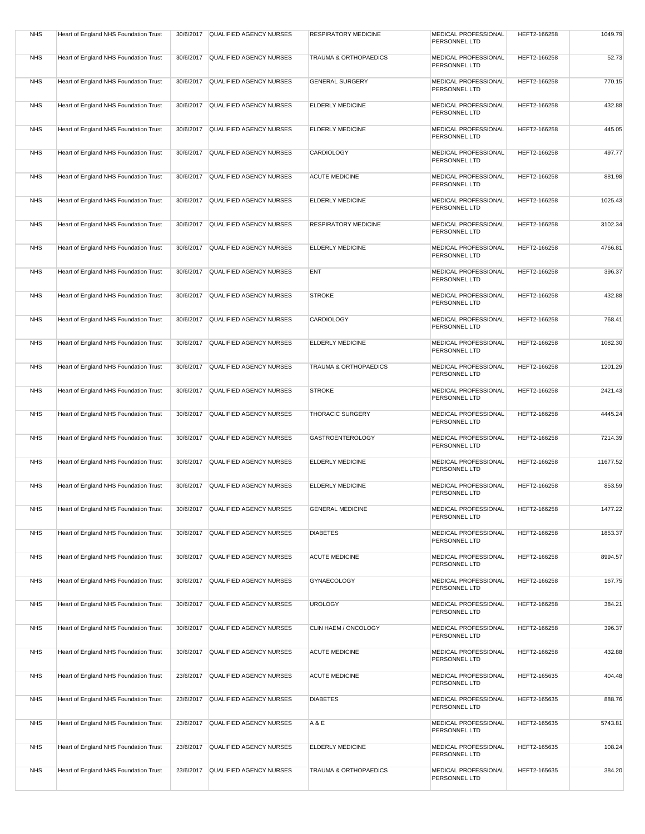| <b>NHS</b> | Heart of England NHS Foundation Trust |           | 30/6/2017 QUALIFIED AGENCY NURSES | <b>RESPIRATORY MEDICINE</b> | MEDICAL PROFESSIONAL<br>PERSONNEL LTD        | HEFT2-166258 | 1049.79  |
|------------|---------------------------------------|-----------|-----------------------------------|-----------------------------|----------------------------------------------|--------------|----------|
| <b>NHS</b> | Heart of England NHS Foundation Trust | 30/6/2017 | QUALIFIED AGENCY NURSES           | TRAUMA & ORTHOPAEDICS       | MEDICAL PROFESSIONAL<br>PERSONNEL LTD        | HEFT2-166258 | 52.73    |
| <b>NHS</b> | Heart of England NHS Foundation Trust | 30/6/2017 | QUALIFIED AGENCY NURSES           | <b>GENERAL SURGERY</b>      | MEDICAL PROFESSIONAL<br>PERSONNEL LTD        | HEFT2-166258 | 770.15   |
| <b>NHS</b> | Heart of England NHS Foundation Trust | 30/6/2017 | QUALIFIED AGENCY NURSES           | ELDERLY MEDICINE            | MEDICAL PROFESSIONAL<br>PERSONNEL LTD        | HEFT2-166258 | 432.88   |
| <b>NHS</b> | Heart of England NHS Foundation Trust | 30/6/2017 | QUALIFIED AGENCY NURSES           | ELDERLY MEDICINE            | MEDICAL PROFESSIONAL<br>PERSONNEL LTD        | HEFT2-166258 | 445.05   |
| <b>NHS</b> | Heart of England NHS Foundation Trust | 30/6/2017 | QUALIFIED AGENCY NURSES           | CARDIOLOGY                  | MEDICAL PROFESSIONAL<br>PERSONNEL LTD        | HEFT2-166258 | 497.77   |
| <b>NHS</b> | Heart of England NHS Foundation Trust | 30/6/2017 | QUALIFIED AGENCY NURSES           | <b>ACUTE MEDICINE</b>       | MEDICAL PROFESSIONAL<br>PERSONNEL LTD        | HEFT2-166258 | 881.98   |
| <b>NHS</b> | Heart of England NHS Foundation Trust | 30/6/2017 | QUALIFIED AGENCY NURSES           | ELDERLY MEDICINE            | MEDICAL PROFESSIONAL<br>PERSONNEL LTD        | HEFT2-166258 | 1025.43  |
| <b>NHS</b> | Heart of England NHS Foundation Trust | 30/6/2017 | QUALIFIED AGENCY NURSES           | <b>RESPIRATORY MEDICINE</b> | MEDICAL PROFESSIONAL<br>PERSONNEL LTD        | HEFT2-166258 | 3102.34  |
| <b>NHS</b> | Heart of England NHS Foundation Trust | 30/6/2017 | QUALIFIED AGENCY NURSES           | ELDERLY MEDICINE            | MEDICAL PROFESSIONAL<br>PERSONNEL LTD        | HEFT2-166258 | 4766.81  |
| <b>NHS</b> | Heart of England NHS Foundation Trust | 30/6/2017 | QUALIFIED AGENCY NURSES           | <b>ENT</b>                  | <b>MEDICAL PROFESSIONAL</b><br>PERSONNEL LTD | HEFT2-166258 | 396.37   |
| <b>NHS</b> | Heart of England NHS Foundation Trust | 30/6/2017 | QUALIFIED AGENCY NURSES           | <b>STROKE</b>               | MEDICAL PROFESSIONAL<br>PERSONNEL LTD        | HEFT2-166258 | 432.88   |
| <b>NHS</b> | Heart of England NHS Foundation Trust | 30/6/2017 | QUALIFIED AGENCY NURSES           | CARDIOLOGY                  | MEDICAL PROFESSIONAL<br>PERSONNEL LTD        | HEFT2-166258 | 768.41   |
| <b>NHS</b> | Heart of England NHS Foundation Trust |           | 30/6/2017 QUALIFIED AGENCY NURSES | <b>ELDERLY MEDICINE</b>     | MEDICAL PROFESSIONAL<br>PERSONNEL LTD        | HEFT2-166258 | 1082.30  |
| <b>NHS</b> | Heart of England NHS Foundation Trust | 30/6/2017 | QUALIFIED AGENCY NURSES           | TRAUMA & ORTHOPAEDICS       | MEDICAL PROFESSIONAL<br>PERSONNEL LTD        | HEFT2-166258 | 1201.29  |
| <b>NHS</b> | Heart of England NHS Foundation Trust | 30/6/2017 | QUALIFIED AGENCY NURSES           | <b>STROKE</b>               | MEDICAL PROFESSIONAL<br>PERSONNEL LTD        | HEFT2-166258 | 2421.43  |
| <b>NHS</b> | Heart of England NHS Foundation Trust | 30/6/2017 | QUALIFIED AGENCY NURSES           | <b>THORACIC SURGERY</b>     | MEDICAL PROFESSIONAL<br>PERSONNEL LTD        | HEFT2-166258 | 4445.24  |
| <b>NHS</b> | Heart of England NHS Foundation Trust | 30/6/2017 | QUALIFIED AGENCY NURSES           | <b>GASTROENTEROLOGY</b>     | MEDICAL PROFESSIONAL<br>PERSONNEL LTD        | HEFT2-166258 | 7214.39  |
| <b>NHS</b> | Heart of England NHS Foundation Trust | 30/6/2017 | <b>QUALIFIED AGENCY NURSES</b>    | <b>ELDERLY MEDICINE</b>     | <b>MEDICAL PROFESSIONAL</b><br>PERSONNEL LTD | HEFT2-166258 | 11677.52 |
| <b>NHS</b> | Heart of England NHS Foundation Trust | 30/6/2017 | QUALIFIED AGENCY NURSES           | ELDERLY MEDICINE            | <b>MEDICAL PROFESSIONAL</b><br>PERSONNEL LTD | HEFT2-166258 | 853.59   |
| <b>NHS</b> | Heart of England NHS Foundation Trust |           | 30/6/2017 QUALIFIED AGENCY NURSES | <b>GENERAL MEDICINE</b>     | MEDICAL PROFESSIONAL<br>PERSONNEL LTD        | HEFT2-166258 | 1477.22  |
| <b>NHS</b> | Heart of England NHS Foundation Trust |           | 30/6/2017 QUALIFIED AGENCY NURSES | <b>DIABETES</b>             | MEDICAL PROFESSIONAL<br>PERSONNEL LTD        | HEFT2-166258 | 1853.37  |
| <b>NHS</b> | Heart of England NHS Foundation Trust | 30/6/2017 | QUALIFIED AGENCY NURSES           | <b>ACUTE MEDICINE</b>       | MEDICAL PROFESSIONAL<br>PERSONNEL LTD        | HEFT2-166258 | 8994.57  |
| <b>NHS</b> | Heart of England NHS Foundation Trust | 30/6/2017 | QUALIFIED AGENCY NURSES           | <b>GYNAECOLOGY</b>          | MEDICAL PROFESSIONAL<br>PERSONNEL LTD        | HEFT2-166258 | 167.75   |
| <b>NHS</b> | Heart of England NHS Foundation Trust |           | 30/6/2017 QUALIFIED AGENCY NURSES | <b>UROLOGY</b>              | MEDICAL PROFESSIONAL<br>PERSONNEL LTD        | HEFT2-166258 | 384.21   |
| <b>NHS</b> | Heart of England NHS Foundation Trust |           | 30/6/2017 QUALIFIED AGENCY NURSES | CLIN HAEM / ONCOLOGY        | MEDICAL PROFESSIONAL<br>PERSONNEL LTD        | HEFT2-166258 | 396.37   |
| <b>NHS</b> | Heart of England NHS Foundation Trust |           | 30/6/2017 QUALIFIED AGENCY NURSES | <b>ACUTE MEDICINE</b>       | MEDICAL PROFESSIONAL<br>PERSONNEL LTD        | HEFT2-166258 | 432.88   |
| <b>NHS</b> | Heart of England NHS Foundation Trust | 23/6/2017 | QUALIFIED AGENCY NURSES           | <b>ACUTE MEDICINE</b>       | MEDICAL PROFESSIONAL<br>PERSONNEL LTD        | HEFT2-165635 | 404.48   |
| <b>NHS</b> | Heart of England NHS Foundation Trust | 23/6/2017 | QUALIFIED AGENCY NURSES           | <b>DIABETES</b>             | MEDICAL PROFESSIONAL<br>PERSONNEL LTD        | HEFT2-165635 | 888.76   |
| <b>NHS</b> | Heart of England NHS Foundation Trust | 23/6/2017 | QUALIFIED AGENCY NURSES           | A&E                         | MEDICAL PROFESSIONAL<br>PERSONNEL LTD        | HEFT2-165635 | 5743.81  |
| <b>NHS</b> | Heart of England NHS Foundation Trust | 23/6/2017 | QUALIFIED AGENCY NURSES           | ELDERLY MEDICINE            | MEDICAL PROFESSIONAL<br>PERSONNEL LTD        | HEFT2-165635 | 108.24   |
| <b>NHS</b> | Heart of England NHS Foundation Trust | 23/6/2017 | QUALIFIED AGENCY NURSES           | TRAUMA & ORTHOPAEDICS       | MEDICAL PROFESSIONAL<br>PERSONNEL LTD        | HEFT2-165635 | 384.20   |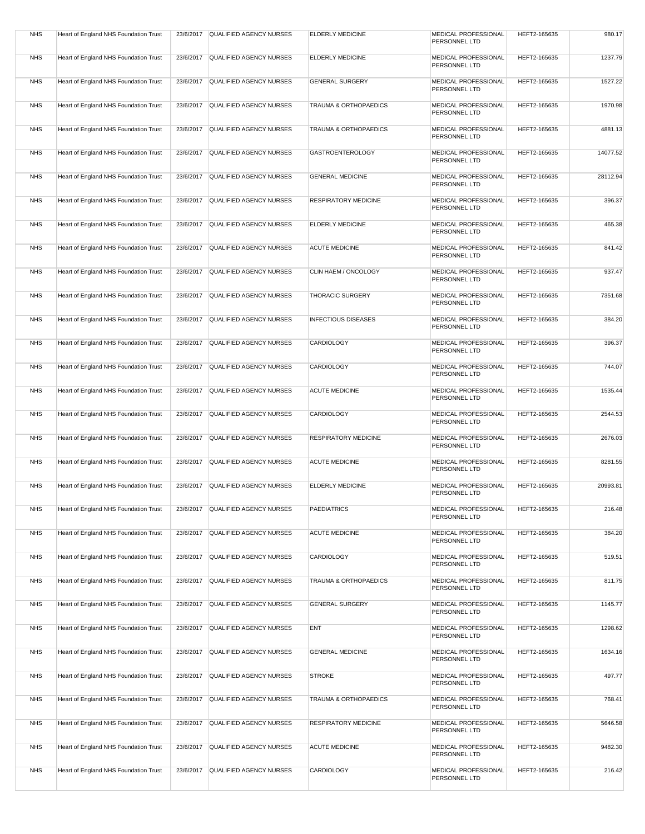| <b>NHS</b> | Heart of England NHS Foundation Trust |           | 23/6/2017 QUALIFIED AGENCY NURSES | <b>ELDERLY MEDICINE</b>          | MEDICAL PROFESSIONAL<br>PERSONNEL LTD | HEFT2-165635 | 980.17   |
|------------|---------------------------------------|-----------|-----------------------------------|----------------------------------|---------------------------------------|--------------|----------|
| <b>NHS</b> | Heart of England NHS Foundation Trust | 23/6/2017 | QUALIFIED AGENCY NURSES           | <b>ELDERLY MEDICINE</b>          | MEDICAL PROFESSIONAL<br>PERSONNEL LTD | HEFT2-165635 | 1237.79  |
| <b>NHS</b> | Heart of England NHS Foundation Trust | 23/6/2017 | QUALIFIED AGENCY NURSES           | <b>GENERAL SURGERY</b>           | MEDICAL PROFESSIONAL<br>PERSONNEL LTD | HEFT2-165635 | 1527.22  |
| <b>NHS</b> | Heart of England NHS Foundation Trust | 23/6/2017 | QUALIFIED AGENCY NURSES           | <b>TRAUMA &amp; ORTHOPAEDICS</b> | MEDICAL PROFESSIONAL<br>PERSONNEL LTD | HEFT2-165635 | 1970.98  |
| <b>NHS</b> | Heart of England NHS Foundation Trust |           | 23/6/2017 QUALIFIED AGENCY NURSES | TRAUMA & ORTHOPAEDICS            | MEDICAL PROFESSIONAL<br>PERSONNEL LTD | HEFT2-165635 | 4881.13  |
| <b>NHS</b> | Heart of England NHS Foundation Trust | 23/6/2017 | QUALIFIED AGENCY NURSES           | <b>GASTROENTEROLOGY</b>          | MEDICAL PROFESSIONAL<br>PERSONNEL LTD | HEFT2-165635 | 14077.52 |
| <b>NHS</b> | Heart of England NHS Foundation Trust | 23/6/2017 | QUALIFIED AGENCY NURSES           | <b>GENERAL MEDICINE</b>          | MEDICAL PROFESSIONAL<br>PERSONNEL LTD | HEFT2-165635 | 28112.94 |
| <b>NHS</b> | Heart of England NHS Foundation Trust | 23/6/2017 | QUALIFIED AGENCY NURSES           | RESPIRATORY MEDICINE             | MEDICAL PROFESSIONAL<br>PERSONNEL LTD | HEFT2-165635 | 396.37   |
| <b>NHS</b> | Heart of England NHS Foundation Trust | 23/6/2017 | QUALIFIED AGENCY NURSES           | <b>ELDERLY MEDICINE</b>          | MEDICAL PROFESSIONAL<br>PERSONNEL LTD | HEFT2-165635 | 465.38   |
| <b>NHS</b> | Heart of England NHS Foundation Trust | 23/6/2017 | QUALIFIED AGENCY NURSES           | <b>ACUTE MEDICINE</b>            | MEDICAL PROFESSIONAL<br>PERSONNEL LTD | HEFT2-165635 | 841.42   |
| <b>NHS</b> | Heart of England NHS Foundation Trust | 23/6/2017 | QUALIFIED AGENCY NURSES           | CLIN HAEM / ONCOLOGY             | MEDICAL PROFESSIONAL<br>PERSONNEL LTD | HEFT2-165635 | 937.47   |
| <b>NHS</b> | Heart of England NHS Foundation Trust | 23/6/2017 | QUALIFIED AGENCY NURSES           | THORACIC SURGERY                 | MEDICAL PROFESSIONAL<br>PERSONNEL LTD | HEFT2-165635 | 7351.68  |
| <b>NHS</b> | Heart of England NHS Foundation Trust |           | 23/6/2017 QUALIFIED AGENCY NURSES | <b>INFECTIOUS DISEASES</b>       | MEDICAL PROFESSIONAL<br>PERSONNEL LTD | HEFT2-165635 | 384.20   |
| <b>NHS</b> | Heart of England NHS Foundation Trust | 23/6/2017 | QUALIFIED AGENCY NURSES           | CARDIOLOGY                       | MEDICAL PROFESSIONAL<br>PERSONNEL LTD | HEFT2-165635 | 396.37   |
| <b>NHS</b> | Heart of England NHS Foundation Trust |           | 23/6/2017 QUALIFIED AGENCY NURSES | CARDIOLOGY                       | MEDICAL PROFESSIONAL<br>PERSONNEL LTD | HEFT2-165635 | 744.07   |
| <b>NHS</b> | Heart of England NHS Foundation Trust | 23/6/2017 | QUALIFIED AGENCY NURSES           | <b>ACUTE MEDICINE</b>            | MEDICAL PROFESSIONAL<br>PERSONNEL LTD | HEFT2-165635 | 1535.44  |
| <b>NHS</b> | Heart of England NHS Foundation Trust | 23/6/2017 | QUALIFIED AGENCY NURSES           | CARDIOLOGY                       | MEDICAL PROFESSIONAL<br>PERSONNEL LTD | HEFT2-165635 | 2544.53  |
| <b>NHS</b> | Heart of England NHS Foundation Trust | 23/6/2017 | QUALIFIED AGENCY NURSES           | <b>RESPIRATORY MEDICINE</b>      | MEDICAL PROFESSIONAL<br>PERSONNEL LTD | HEFT2-165635 | 2676.03  |
| <b>NHS</b> | Heart of England NHS Foundation Trust | 23/6/2017 | <b>QUALIFIED AGENCY NURSES</b>    | <b>ACUTE MEDICINE</b>            | MEDICAL PROFESSIONAL<br>PERSONNEL LTD | HEFT2-165635 | 8281.55  |
| <b>NHS</b> | Heart of England NHS Foundation Trust | 23/6/2017 | QUALIFIED AGENCY NURSES           | <b>ELDERLY MEDICINE</b>          | MEDICAL PROFESSIONAL<br>PERSONNEL LTD | HEFT2-165635 | 20993.81 |
| <b>NHS</b> | Heart of England NHS Foundation Trust |           | 23/6/2017 QUALIFIED AGENCY NURSES | <b>PAEDIATRICS</b>               | MEDICAL PROFESSIONAL<br>PERSONNEL LTD | HEFT2-165635 | 216.48   |
| <b>NHS</b> | Heart of England NHS Foundation Trust | 23/6/2017 | QUALIFIED AGENCY NURSES           | <b>ACUTE MEDICINE</b>            | MEDICAL PROFESSIONAL<br>PERSONNEL LTD | HEFT2-165635 | 384.20   |
| <b>NHS</b> | Heart of England NHS Foundation Trust | 23/6/2017 | QUALIFIED AGENCY NURSES           | CARDIOLOGY                       | MEDICAL PROFESSIONAL<br>PERSONNEL LTD | HEFT2-165635 | 519.51   |
| <b>NHS</b> | Heart of England NHS Foundation Trust | 23/6/2017 | QUALIFIED AGENCY NURSES           | TRAUMA & ORTHOPAEDICS            | MEDICAL PROFESSIONAL<br>PERSONNEL LTD | HEFT2-165635 | 811.75   |
| <b>NHS</b> | Heart of England NHS Foundation Trust | 23/6/2017 | QUALIFIED AGENCY NURSES           | <b>GENERAL SURGERY</b>           | MEDICAL PROFESSIONAL<br>PERSONNEL LTD | HEFT2-165635 | 1145.77  |
| <b>NHS</b> | Heart of England NHS Foundation Trust |           | 23/6/2017 QUALIFIED AGENCY NURSES | <b>ENT</b>                       | MEDICAL PROFESSIONAL<br>PERSONNEL LTD | HEFT2-165635 | 1298.62  |
| <b>NHS</b> | Heart of England NHS Foundation Trust |           | 23/6/2017 QUALIFIED AGENCY NURSES | <b>GENERAL MEDICINE</b>          | MEDICAL PROFESSIONAL<br>PERSONNEL LTD | HEFT2-165635 | 1634.16  |
| <b>NHS</b> | Heart of England NHS Foundation Trust | 23/6/2017 | QUALIFIED AGENCY NURSES           | <b>STROKE</b>                    | MEDICAL PROFESSIONAL<br>PERSONNEL LTD | HEFT2-165635 | 497.77   |
| <b>NHS</b> | Heart of England NHS Foundation Trust | 23/6/2017 | QUALIFIED AGENCY NURSES           | TRAUMA & ORTHOPAEDICS            | MEDICAL PROFESSIONAL<br>PERSONNEL LTD | HEFT2-165635 | 768.41   |
| <b>NHS</b> | Heart of England NHS Foundation Trust | 23/6/2017 | QUALIFIED AGENCY NURSES           | <b>RESPIRATORY MEDICINE</b>      | MEDICAL PROFESSIONAL<br>PERSONNEL LTD | HEFT2-165635 | 5646.58  |
| <b>NHS</b> | Heart of England NHS Foundation Trust | 23/6/2017 | QUALIFIED AGENCY NURSES           | <b>ACUTE MEDICINE</b>            | MEDICAL PROFESSIONAL<br>PERSONNEL LTD | HEFT2-165635 | 9482.30  |
| <b>NHS</b> | Heart of England NHS Foundation Trust | 23/6/2017 | QUALIFIED AGENCY NURSES           | CARDIOLOGY                       | MEDICAL PROFESSIONAL<br>PERSONNEL LTD | HEFT2-165635 | 216.42   |
|            |                                       |           |                                   |                                  |                                       |              |          |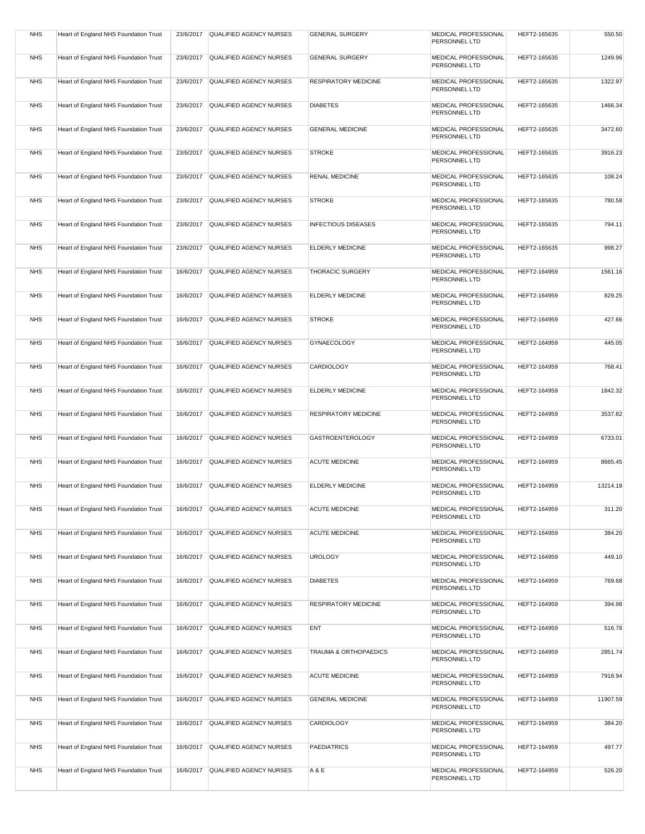| <b>NHS</b> | Heart of England NHS Foundation Trust |           | 23/6/2017 QUALIFIED AGENCY NURSES | <b>GENERAL SURGERY</b>      | MEDICAL PROFESSIONAL<br>PERSONNEL LTD        | HEFT2-165635 | 550.50   |
|------------|---------------------------------------|-----------|-----------------------------------|-----------------------------|----------------------------------------------|--------------|----------|
| <b>NHS</b> | Heart of England NHS Foundation Trust | 23/6/2017 | QUALIFIED AGENCY NURSES           | <b>GENERAL SURGERY</b>      | MEDICAL PROFESSIONAL<br>PERSONNEL LTD        | HEFT2-165635 | 1249.96  |
| <b>NHS</b> | Heart of England NHS Foundation Trust | 23/6/2017 | QUALIFIED AGENCY NURSES           | <b>RESPIRATORY MEDICINE</b> | MEDICAL PROFESSIONAL<br>PERSONNEL LTD        | HEFT2-165635 | 1322.97  |
| <b>NHS</b> | Heart of England NHS Foundation Trust | 23/6/2017 | QUALIFIED AGENCY NURSES           | <b>DIABETES</b>             | MEDICAL PROFESSIONAL<br>PERSONNEL LTD        | HEFT2-165635 | 1466.34  |
| <b>NHS</b> | Heart of England NHS Foundation Trust | 23/6/2017 | QUALIFIED AGENCY NURSES           | <b>GENERAL MEDICINE</b>     | MEDICAL PROFESSIONAL<br>PERSONNEL LTD        | HEFT2-165635 | 3472.60  |
| <b>NHS</b> | Heart of England NHS Foundation Trust | 23/6/2017 | QUALIFIED AGENCY NURSES           | <b>STROKE</b>               | MEDICAL PROFESSIONAL<br>PERSONNEL LTD        | HEFT2-165635 | 3916.23  |
| <b>NHS</b> | Heart of England NHS Foundation Trust | 23/6/2017 | QUALIFIED AGENCY NURSES           | <b>RENAL MEDICINE</b>       | MEDICAL PROFESSIONAL<br>PERSONNEL LTD        | HEFT2-165635 | 108.24   |
| <b>NHS</b> | Heart of England NHS Foundation Trust | 23/6/2017 | QUALIFIED AGENCY NURSES           | <b>STROKE</b>               | MEDICAL PROFESSIONAL<br>PERSONNEL LTD        | HEFT2-165635 | 780.58   |
| <b>NHS</b> | Heart of England NHS Foundation Trust | 23/6/2017 | QUALIFIED AGENCY NURSES           | <b>INFECTIOUS DISEASES</b>  | MEDICAL PROFESSIONAL<br>PERSONNEL LTD        | HEFT2-165635 | 794.11   |
| <b>NHS</b> | Heart of England NHS Foundation Trust | 23/6/2017 | QUALIFIED AGENCY NURSES           | ELDERLY MEDICINE            | MEDICAL PROFESSIONAL<br>PERSONNEL LTD        | HEFT2-165635 | 998.27   |
| <b>NHS</b> | Heart of England NHS Foundation Trust | 16/6/2017 | QUALIFIED AGENCY NURSES           | <b>THORACIC SURGERY</b>     | <b>MEDICAL PROFESSIONAL</b><br>PERSONNEL LTD | HEFT2-164959 | 1561.16  |
| <b>NHS</b> | Heart of England NHS Foundation Trust | 16/6/2017 | QUALIFIED AGENCY NURSES           | <b>ELDERLY MEDICINE</b>     | <b>MEDICAL PROFESSIONAL</b><br>PERSONNEL LTD | HEFT2-164959 | 829.25   |
| <b>NHS</b> | Heart of England NHS Foundation Trust | 16/6/2017 | QUALIFIED AGENCY NURSES           | <b>STROKE</b>               | MEDICAL PROFESSIONAL<br>PERSONNEL LTD        | HEFT2-164959 | 427.66   |
| <b>NHS</b> | Heart of England NHS Foundation Trust |           | 16/6/2017 QUALIFIED AGENCY NURSES | GYNAECOLOGY                 | MEDICAL PROFESSIONAL<br>PERSONNEL LTD        | HEFT2-164959 | 445.05   |
| <b>NHS</b> | Heart of England NHS Foundation Trust | 16/6/2017 | QUALIFIED AGENCY NURSES           | CARDIOLOGY                  | MEDICAL PROFESSIONAL<br>PERSONNEL LTD        | HEFT2-164959 | 768.41   |
| <b>NHS</b> | Heart of England NHS Foundation Trust | 16/6/2017 | QUALIFIED AGENCY NURSES           | ELDERLY MEDICINE            | MEDICAL PROFESSIONAL<br>PERSONNEL LTD        | HEFT2-164959 | 1842.32  |
| <b>NHS</b> | Heart of England NHS Foundation Trust | 16/6/2017 | QUALIFIED AGENCY NURSES           | <b>RESPIRATORY MEDICINE</b> | MEDICAL PROFESSIONAL<br>PERSONNEL LTD        | HEFT2-164959 | 3537.82  |
| <b>NHS</b> | Heart of England NHS Foundation Trust | 16/6/2017 | QUALIFIED AGENCY NURSES           | <b>GASTROENTEROLOGY</b>     | MEDICAL PROFESSIONAL<br>PERSONNEL LTD        | HEFT2-164959 | 6733.01  |
| <b>NHS</b> | Heart of England NHS Foundation Trust | 16/6/2017 | QUALIFIED AGENCY NURSES           | <b>ACUTE MEDICINE</b>       | <b>MEDICAL PROFESSIONAL</b><br>PERSONNEL LTD | HEFT2-164959 | 8665.45  |
| <b>NHS</b> | Heart of England NHS Foundation Trust | 16/6/2017 | QUALIFIED AGENCY NURSES           | <b>ELDERLY MEDICINE</b>     | <b>MEDICAL PROFESSIONAL</b><br>PERSONNEL LTD | HEFT2-164959 | 13214.18 |
| <b>NHS</b> | Heart of England NHS Foundation Trust |           | 16/6/2017 QUALIFIED AGENCY NURSES | <b>ACUTE MEDICINE</b>       | MEDICAL PROFESSIONAL<br>PERSONNEL LTD        | HEFT2-164959 | 311.20   |
| <b>NHS</b> | Heart of England NHS Foundation Trust |           | 16/6/2017 QUALIFIED AGENCY NURSES | <b>ACUTE MEDICINE</b>       | MEDICAL PROFESSIONAL<br>PERSONNEL LTD        | HEFT2-164959 | 384.20   |
| <b>NHS</b> | Heart of England NHS Foundation Trust | 16/6/2017 | QUALIFIED AGENCY NURSES           | <b>UROLOGY</b>              | MEDICAL PROFESSIONAL<br>PERSONNEL LTD        | HEFT2-164959 | 449.10   |
| <b>NHS</b> | Heart of England NHS Foundation Trust | 16/6/2017 | QUALIFIED AGENCY NURSES           | <b>DIABETES</b>             | MEDICAL PROFESSIONAL<br>PERSONNEL LTD        | HEFT2-164959 | 769.68   |
| <b>NHS</b> | Heart of England NHS Foundation Trust | 16/6/2017 | QUALIFIED AGENCY NURSES           | <b>RESPIRATORY MEDICINE</b> | MEDICAL PROFESSIONAL<br>PERSONNEL LTD        | HEFT2-164959 | 394.98   |
| <b>NHS</b> | Heart of England NHS Foundation Trust |           | 16/6/2017 QUALIFIED AGENCY NURSES | ENT                         | MEDICAL PROFESSIONAL<br>PERSONNEL LTD        | HEFT2-164959 | 516.78   |
| <b>NHS</b> | Heart of England NHS Foundation Trust |           | 16/6/2017 QUALIFIED AGENCY NURSES | TRAUMA & ORTHOPAEDICS       | MEDICAL PROFESSIONAL<br>PERSONNEL LTD        | HEFT2-164959 | 2851.74  |
| <b>NHS</b> | Heart of England NHS Foundation Trust | 16/6/2017 | QUALIFIED AGENCY NURSES           | <b>ACUTE MEDICINE</b>       | MEDICAL PROFESSIONAL<br>PERSONNEL LTD        | HEFT2-164959 | 7918.94  |
| <b>NHS</b> | Heart of England NHS Foundation Trust | 16/6/2017 | QUALIFIED AGENCY NURSES           | <b>GENERAL MEDICINE</b>     | MEDICAL PROFESSIONAL<br>PERSONNEL LTD        | HEFT2-164959 | 11907.59 |
| <b>NHS</b> | Heart of England NHS Foundation Trust | 16/6/2017 | QUALIFIED AGENCY NURSES           | CARDIOLOGY                  | MEDICAL PROFESSIONAL<br>PERSONNEL LTD        | HEFT2-164959 | 384.20   |
| <b>NHS</b> | Heart of England NHS Foundation Trust | 16/6/2017 | QUALIFIED AGENCY NURSES           | <b>PAEDIATRICS</b>          | MEDICAL PROFESSIONAL<br>PERSONNEL LTD        | HEFT2-164959 | 497.77   |
| <b>NHS</b> | Heart of England NHS Foundation Trust | 16/6/2017 | QUALIFIED AGENCY NURSES           | A & E                       | MEDICAL PROFESSIONAL<br>PERSONNEL LTD        | HEFT2-164959 | 526.20   |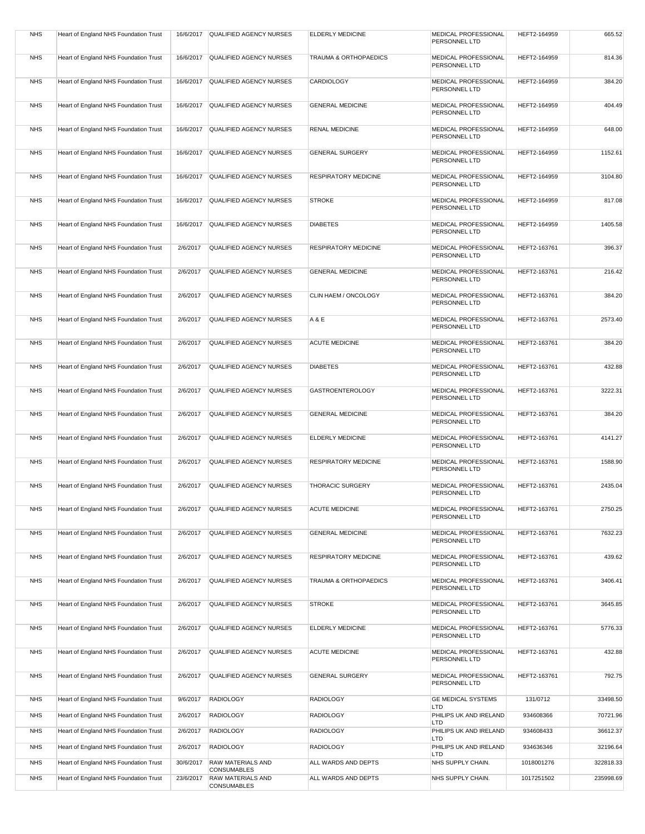| <b>NHS</b> | Heart of England NHS Foundation Trust | 16/6/2017 | QUALIFIED AGENCY NURSES                        | <b>ELDERLY MEDICINE</b>          | MEDICAL PROFESSIONAL<br>PERSONNEL LTD        | HEFT2-164959 | 665.52    |
|------------|---------------------------------------|-----------|------------------------------------------------|----------------------------------|----------------------------------------------|--------------|-----------|
| <b>NHS</b> | Heart of England NHS Foundation Trust | 16/6/2017 | <b>QUALIFIED AGENCY NURSES</b>                 | <b>TRAUMA &amp; ORTHOPAEDICS</b> | MEDICAL PROFESSIONAL<br>PERSONNEL LTD        | HEFT2-164959 | 814.36    |
| <b>NHS</b> | Heart of England NHS Foundation Trust | 16/6/2017 | QUALIFIED AGENCY NURSES                        | <b>CARDIOLOGY</b>                | MEDICAL PROFESSIONAL<br>PERSONNEL LTD        | HEFT2-164959 | 384.20    |
| <b>NHS</b> | Heart of England NHS Foundation Trust | 16/6/2017 | QUALIFIED AGENCY NURSES                        | <b>GENERAL MEDICINE</b>          | MEDICAL PROFESSIONAL<br>PERSONNEL LTD        | HEFT2-164959 | 404.49    |
| <b>NHS</b> | Heart of England NHS Foundation Trust | 16/6/2017 | QUALIFIED AGENCY NURSES                        | <b>RENAL MEDICINE</b>            | MEDICAL PROFESSIONAL<br>PERSONNEL LTD        | HEFT2-164959 | 648.00    |
| <b>NHS</b> | Heart of England NHS Foundation Trust | 16/6/2017 | <b>QUALIFIED AGENCY NURSES</b>                 | <b>GENERAL SURGERY</b>           | MEDICAL PROFESSIONAL<br>PERSONNEL LTD        | HEFT2-164959 | 1152.61   |
| <b>NHS</b> | Heart of England NHS Foundation Trust | 16/6/2017 | <b>QUALIFIED AGENCY NURSES</b>                 | <b>RESPIRATORY MEDICINE</b>      | MEDICAL PROFESSIONAL<br>PERSONNEL LTD        | HEFT2-164959 | 3104.80   |
| <b>NHS</b> | Heart of England NHS Foundation Trust | 16/6/2017 | QUALIFIED AGENCY NURSES                        | <b>STROKE</b>                    | MEDICAL PROFESSIONAL<br>PERSONNEL LTD        | HEFT2-164959 | 817.08    |
| <b>NHS</b> | Heart of England NHS Foundation Trust | 16/6/2017 | QUALIFIED AGENCY NURSES                        | <b>DIABETES</b>                  | MEDICAL PROFESSIONAL<br>PERSONNEL LTD        | HEFT2-164959 | 1405.58   |
| <b>NHS</b> | Heart of England NHS Foundation Trust | 2/6/2017  | QUALIFIED AGENCY NURSES                        | <b>RESPIRATORY MEDICINE</b>      | MEDICAL PROFESSIONAL<br>PERSONNEL LTD        | HEFT2-163761 | 396.37    |
| <b>NHS</b> | Heart of England NHS Foundation Trust | 2/6/2017  | QUALIFIED AGENCY NURSES                        | <b>GENERAL MEDICINE</b>          | MEDICAL PROFESSIONAL<br>PERSONNEL LTD        | HEFT2-163761 | 216.42    |
| <b>NHS</b> | Heart of England NHS Foundation Trust | 2/6/2017  | QUALIFIED AGENCY NURSES                        | CLIN HAEM / ONCOLOGY             | MEDICAL PROFESSIONAL<br>PERSONNEL LTD        | HEFT2-163761 | 384.20    |
| <b>NHS</b> | Heart of England NHS Foundation Trust | 2/6/2017  | <b>QUALIFIED AGENCY NURSES</b>                 | A & E                            | <b>MEDICAL PROFESSIONAL</b><br>PERSONNEL LTD | HEFT2-163761 | 2573.40   |
| <b>NHS</b> | Heart of England NHS Foundation Trust | 2/6/2017  | QUALIFIED AGENCY NURSES                        | <b>ACUTE MEDICINE</b>            | MEDICAL PROFESSIONAL<br>PERSONNEL LTD        | HEFT2-163761 | 384.20    |
| <b>NHS</b> | Heart of England NHS Foundation Trust | 2/6/2017  | QUALIFIED AGENCY NURSES                        | <b>DIABETES</b>                  | MEDICAL PROFESSIONAL<br>PERSONNEL LTD        | HEFT2-163761 | 432.88    |
| <b>NHS</b> | Heart of England NHS Foundation Trust | 2/6/2017  | QUALIFIED AGENCY NURSES                        | <b>GASTROENTEROLOGY</b>          | MEDICAL PROFESSIONAL<br>PERSONNEL LTD        | HEFT2-163761 | 3222.31   |
| <b>NHS</b> | Heart of England NHS Foundation Trust | 2/6/2017  | QUALIFIED AGENCY NURSES                        | <b>GENERAL MEDICINE</b>          | MEDICAL PROFESSIONAL<br>PERSONNEL LTD        | HEFT2-163761 | 384.20    |
| <b>NHS</b> | Heart of England NHS Foundation Trust | 2/6/2017  | QUALIFIED AGENCY NURSES                        | <b>ELDERLY MEDICINE</b>          | MEDICAL PROFESSIONAL<br>PERSONNEL LTD        | HEFT2-163761 | 4141.27   |
| <b>NHS</b> | Heart of England NHS Foundation Trust | 2/6/2017  | <b>QUALIFIED AGENCY NURSES</b>                 | <b>RESPIRATORY MEDICINE</b>      | <b>MEDICAL PROFESSIONAL</b><br>PERSONNEL LTD | HEFT2-163761 | 1588.90   |
| <b>NHS</b> | Heart of England NHS Foundation Trust | 2/6/2017  | QUALIFIED AGENCY NURSES                        | <b>THORACIC SURGERY</b>          | MEDICAL PROFESSIONAL<br>PERSONNEL LTD        | HEFT2-163761 | 2435.04   |
| <b>NHS</b> | Heart of England NHS Foundation Trust | 2/6/2017  | <b>QUALIFIED AGENCY NURSES</b>                 | <b>ACUTE MEDICINE</b>            | MEDICAL PROFESSIONAL<br>PERSONNEL LTD        | HEFT2-163761 | 2750.25   |
| <b>NHS</b> | Heart of England NHS Foundation Trust | 2/6/2017  | QUALIFIED AGENCY NURSES                        | <b>GENERAL MEDICINE</b>          | <b>MEDICAL PROFESSIONAL</b><br>PERSONNEL LTD | HEFT2-163761 | 7632.23   |
| <b>NHS</b> | Heart of England NHS Foundation Trust | 2/6/2017  | QUALIFIED AGENCY NURSES                        | <b>RESPIRATORY MEDICINE</b>      | MEDICAL PROFESSIONAL<br>PERSONNEL LTD        | HEFT2-163761 | 439.62    |
| <b>NHS</b> | Heart of England NHS Foundation Trust | 2/6/2017  | QUALIFIED AGENCY NURSES                        | <b>TRAUMA &amp; ORTHOPAEDICS</b> | MEDICAL PROFESSIONAL<br>PERSONNEL LTD        | HEFT2-163761 | 3406.41   |
| <b>NHS</b> | Heart of England NHS Foundation Trust | 2/6/2017  | QUALIFIED AGENCY NURSES                        | <b>STROKE</b>                    | MEDICAL PROFESSIONAL<br>PERSONNEL LTD        | HEFT2-163761 | 3645.85   |
| <b>NHS</b> | Heart of England NHS Foundation Trust | 2/6/2017  | QUALIFIED AGENCY NURSES                        | <b>ELDERLY MEDICINE</b>          | MEDICAL PROFESSIONAL                         | HEFT2-163761 | 5776.33   |
| <b>NHS</b> | Heart of England NHS Foundation Trust | 2/6/2017  | QUALIFIED AGENCY NURSES                        | <b>ACUTE MEDICINE</b>            | PERSONNEL LTD<br>MEDICAL PROFESSIONAL        | HEFT2-163761 | 432.88    |
| <b>NHS</b> | Heart of England NHS Foundation Trust | 2/6/2017  | QUALIFIED AGENCY NURSES                        | <b>GENERAL SURGERY</b>           | PERSONNEL LTD<br>MEDICAL PROFESSIONAL        | HEFT2-163761 | 792.75    |
| <b>NHS</b> | Heart of England NHS Foundation Trust | 9/6/2017  | <b>RADIOLOGY</b>                               | <b>RADIOLOGY</b>                 | PERSONNEL LTD<br>GE MEDICAL SYSTEMS          | 131/0712     | 33498.50  |
| <b>NHS</b> | Heart of England NHS Foundation Trust | 2/6/2017  | <b>RADIOLOGY</b>                               | <b>RADIOLOGY</b>                 | LTD<br>PHILIPS UK AND IRELAND                | 934608366    | 70721.96  |
| <b>NHS</b> | Heart of England NHS Foundation Trust | 2/6/2017  | <b>RADIOLOGY</b>                               | <b>RADIOLOGY</b>                 | LTD<br>PHILIPS UK AND IRELAND                | 934608433    | 36612.37  |
|            |                                       |           |                                                |                                  | LTD                                          |              |           |
| <b>NHS</b> | Heart of England NHS Foundation Trust | 2/6/2017  | <b>RADIOLOGY</b>                               | <b>RADIOLOGY</b>                 | PHILIPS UK AND IRELAND<br>LTD                | 934636346    | 32196.64  |
| <b>NHS</b> | Heart of England NHS Foundation Trust | 30/6/2017 | <b>RAW MATERIALS AND</b><br>CONSUMABLES        | ALL WARDS AND DEPTS              | NHS SUPPLY CHAIN.                            | 1018001276   | 322818.33 |
| <b>NHS</b> | Heart of England NHS Foundation Trust | 23/6/2017 | <b>RAW MATERIALS AND</b><br><b>CONSUMABLES</b> | ALL WARDS AND DEPTS              | NHS SUPPLY CHAIN.                            | 1017251502   | 235998.69 |